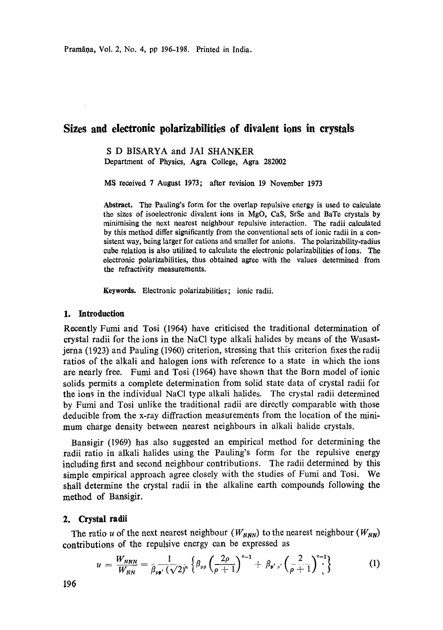Pramāņa, Vol. 2, No. 4, pp 196-198. Printed in India.

# **Sizes and electronic polarizabilities of divalent ions in crystals**

S D BISARYA and JAI SHANKER Department of Physics, Agra College, Agra 282002

MS received 7 August 1973; after revision 19 November 1973

**Abstraet.** The Paaling's form for the overlap repulsive energy is used to calculate the sizes of isoelectronic divalent ions in MgO, CaS, SrSe and BaTe crystals by minimising the next nearest neighbour repulsive interaction. The radii calculated by this method differ significantly from the conventional sets of ionic radii in a consistent way, being larger for cations and smaller for anions. The polarizability-radius cube relation is also utilized to calculate the electronic polarizabilities of ions. The electronic polarizabilities, thus obtained agree with the values determined from the refractivity measurements.

Keywords. Electronic polarizabilities; ionic radii.

## **1. Introduction**

Recently Fumi and Tosi (1964) have criticised the traditional determination of crystal radii for the ions in the NaC1 type alkali halides by means of the Wasastjerna (1923) and Pauling (1960) criterion, stressing that this criterion fixes the radii ratios of the alkali and halogen ions with reference to a state in which the ions are nearly free. Fumi and Tosi (1964) have shown that the Born model of ionic solids permits a complete determination from solid state data of crystal radii for the ions in the individual NaC1 type alkali halides. The crystal radii determined by Fumi and Tosi unlike the traditional radii are directly comparable with those deducible from the x-ray diffraction measurements from the location of the minimum charge density between nearest neighbours in alkali halide crystals.

Bansigir (1969) has also suggested an empirical method for determining the radii ratio in alkali halides using the Pauling's form for the repulsive energy including first and second neighbour contributions. The radii determined by this simple empirical approach agree closely with the studies of Fumi and Tosi. We shall determine the crystal radii in the alkaline earth compounds following the method of Bansigir.

#### 2. Crystal **radii**

The ratio u of the next nearest neighbour ( $W_{NNN}$ ) to the nearest neighbour ( $W_{NN}$ ) contributions of the repulsive energy can be expressed as

$$
u = \frac{W_{NNN}}{W_{NN}} = \frac{1}{\beta_{pp'}(\sqrt{2})^n} \left\{ \beta_{pp} \left( \frac{2\rho}{\rho+1} \right)^{n-1} + \beta_{p'p'} \left( \frac{2}{\rho+1} \right)^{n-1} \right\}
$$
(1)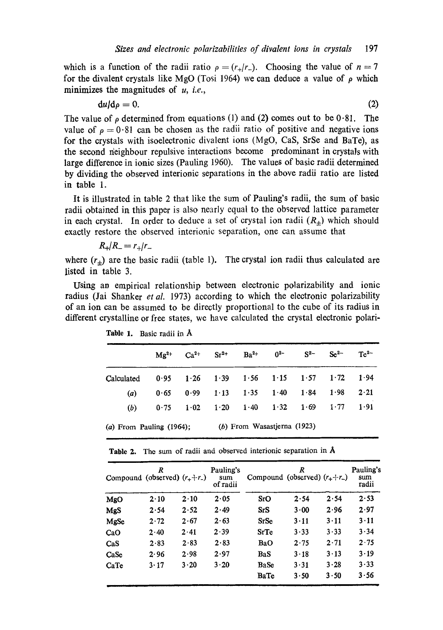which is a function of the radii ratio  $\rho = (r_{+}/r_{-})$ . Choosing the value of  $n = 7$ for the divalent crystals like MgO (Tosi 1964) we can deduce a value of  $\rho$  which minimizes the magnitudes of *u, i.e.,* 

$$
\mathrm{d}u/\mathrm{d}\rho=0.\tag{2}
$$

The value of  $\rho$  determined from equations (1) and (2) comes out to be 0.81. The value of  $\rho = 0.81$  can be chosen as the radii ratio of positive and negative ions for the crystals with isoelectronic divalent ions (MgO, CaS, SrSe and BaTe), as the second neighbour repulsive interactions become predominant in crystals with large difference in ionic sizes (Pauling 1960). The values of basic radii determined by dividing the observed interionic separations in the above radii ratio are listed in table 1.

It is illustrated in table 2 that like the sum of Pauling's radii, the sum of basic radii obtained in this paper is also nearly equal to the observed lattice parameter in each crystal. In order to deduce a set of crystal ion radii  $(R<sub>+</sub>)$  which should exactly restore the observed interionic separation, one can assume that

$$
R_{+}/R_{-}=r_{+}/r_{-}
$$

where  $(r_{\pm})$  are the basic radii (table 1). The crystal ion radii thus calculated are listed in table 3.

Using an empirical relationship between electronic polarizability and ionic radius (Jai Shanker *et al.* 1973) according to which the electronic polarizability of an ion can be assumed to be directly proportional to the cube of its radius in different crystalline or free states, we have calculated the crystal electronic polari-

|                             | $M\mathfrak{g}^{2+}$          | $Ca^{2+}$     | $Sr^{2+}$    | $Ba^{2+}$ | $0^{2-}$                           | $S^{2-}$           | $Se^{2-}$ | $Te^{2}$     |
|-----------------------------|-------------------------------|---------------|--------------|-----------|------------------------------------|--------------------|-----------|--------------|
| Calculated                  | 0.95                          | $1.26$ $1.39$ |              |           | $1.56$ $1.15$ $1.57$ $1.72$ $1.94$ |                    |           |              |
| (a)                         | 0.65                          | 0.99          | $1 \cdot 13$ | 1.35      |                                    | $1.40 \qquad 1.84$ | 1.98      | $2 \cdot 21$ |
| (b)                         | 0.75                          | 1.02          | 1.20         |           | $1.40 \t1.32 \t1.69 \t1.77$        |                    |           | 1.91         |
| (a) From Pauling $(1964)$ ; | $(b)$ From Wasastierna (1923) |               |              |           |                                    |                    |           |              |

Table 1. Basic radii in Å

Table 2. The sum of radii and observed interionic separation in Å

| Compound (observed) $(r_{+}+r_{-})$ | R            |              | Pauling's<br>sum<br>of radii | Compound (observed) $(r_{+}+r_{-})$ | R            |              | Pauling's<br>sum<br>radii |
|-------------------------------------|--------------|--------------|------------------------------|-------------------------------------|--------------|--------------|---------------------------|
| MgO                                 | $2 \cdot 10$ | $2 \cdot 10$ | 2.05                         | $S_{I}$ O                           | 2.54         | 2.54         | 2.53                      |
| MgS                                 | 2.54         | 2.52         | 2.49                         | SrS                                 | 3.00         | 2.96         | 2.97                      |
| MgSe                                | 2.72         | 2.67         | 2.63                         | <b>SrSe</b>                         | $3 \cdot 11$ | 3.11         | $3 - 11$                  |
| CaO                                 | 2.40         | 2.41         | 2.39                         | <b>SrTe</b>                         | 3.33         | 3.33         | 3.34                      |
| $\cos$                              | 2.83         | 2.83         | 2.83                         | BaO                                 | 2.75         | 2.71         | 2.75                      |
| CaSe                                | 2.96         | 2.98         | 2.97                         | <b>BaS</b>                          | $3-18$       | $3 \cdot 13$ | 3.19                      |
| CaTe                                | 3.17         | 3.20         | 3.20                         | <b>BaSe</b>                         | 3.31         | 3.28         | $3 - 33$                  |
|                                     |              |              |                              | BaTe                                | 3.50         | 3.50         | 3.56                      |